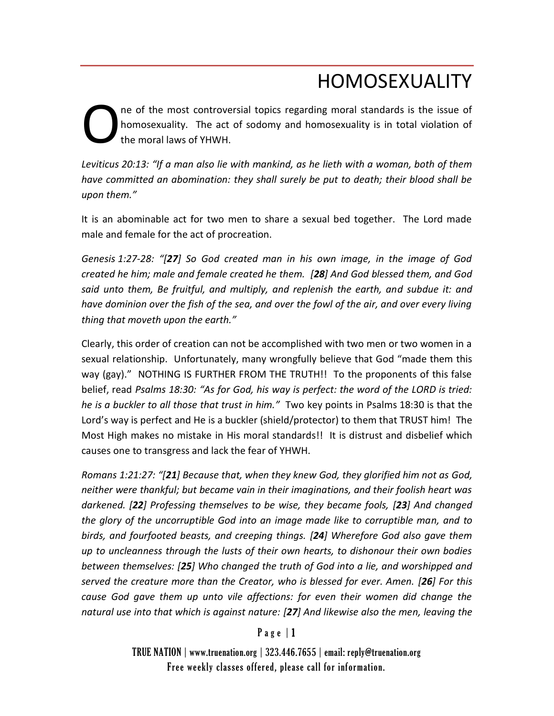# HOMOSEXUALITY

ne of the most controversial topics regarding moral standards is the issue of homosexuality. The act of sodomy and homosexuality is in total violation of the moral laws of YHWH. O

*Leviticus 20:13: "If a man also lie with mankind, as he lieth with a woman, both of them have committed an abomination: they shall surely be put to death; their blood shall be upon them."*

It is an abominable act for two men to share a sexual bed together. The Lord made male and female for the act of procreation.

*Genesis 1:27-28: "[27] So God created man in his own image, in the image of God created he him; male and female created he them. [28] And God blessed them, and God said unto them, Be fruitful, and multiply, and replenish the earth, and subdue it: and have dominion over the fish of the sea, and over the fowl of the air, and over every living thing that moveth upon the earth."*

Clearly, this order of creation can not be accomplished with two men or two women in a sexual relationship. Unfortunately, many wrongfully believe that God "made them this way (gay)." NOTHING IS FURTHER FROM THE TRUTH!! To the proponents of this false belief, read *Psalms 18:30: "As for God, his way is perfect: the word of the LORD is tried: he is a buckler to all those that trust in him."* Two key points in Psalms 18:30 is that the Lord's way is perfect and He is a buckler (shield/protector) to them that TRUST him! The Most High makes no mistake in His moral standards!! It is distrust and disbelief which causes one to transgress and lack the fear of YHWH.

*Romans 1:21:27: "[21] Because that, when they knew God, they glorified him not as God, neither were thankful; but became vain in their imaginations, and their foolish heart was darkened. [22] Professing themselves to be wise, they became fools, [23] And changed the glory of the uncorruptible God into an image made like to corruptible man, and to birds, and fourfooted beasts, and creeping things. [24] Wherefore God also gave them up to uncleanness through the lusts of their own hearts, to dishonour their own bodies between themselves: [25] Who changed the truth of God into a lie, and worshipped and served the creature more than the Creator, who is blessed for ever. Amen. [26] For this cause God gave them up unto vile affections: for even their women did change the natural use into that which is against nature: [27] And likewise also the men, leaving the* 

### $P$  a g e  $|1$

TRUE NATION | www.truenation.org | 323.446.7655 | email: reply@truenation.org Free weekly classes offered, please call for information.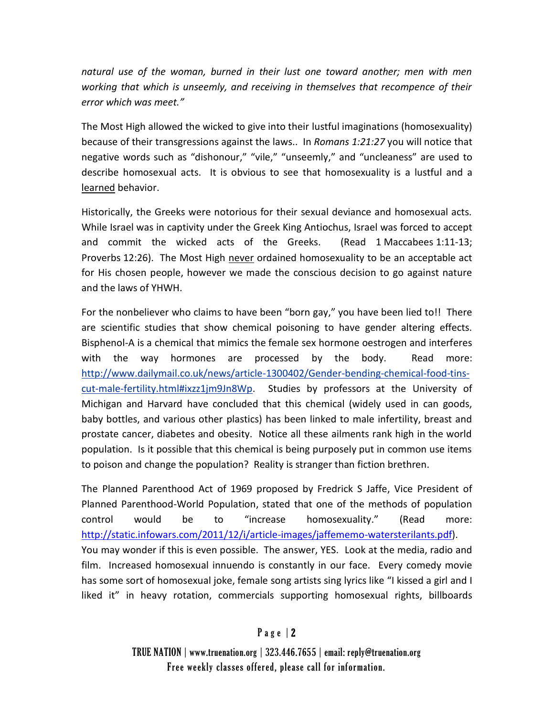*natural use of the woman, burned in their lust one toward another; men with men working that which is unseemly, and receiving in themselves that recompence of their error which was meet."*

The Most High allowed the wicked to give into their lustful imaginations (homosexuality) because of their transgressions against the laws.. In *Romans 1:21:27* you will notice that negative words such as "dishonour," "vile," "unseemly," and "uncleaness" are used to describe homosexual acts. It is obvious to see that homosexuality is a lustful and a learned behavior.

Historically, the Greeks were notorious for their sexual deviance and homosexual acts. While Israel was in captivity under the Greek King Antiochus, Israel was forced to accept and commit the wicked acts of the Greeks. (Read 1 Maccabees 1:11-13; Proverbs 12:26). The Most High never ordained homosexuality to be an acceptable act for His chosen people, however we made the conscious decision to go against nature and the laws of YHWH.

For the nonbeliever who claims to have been "born gay," you have been lied to!! There are scientific studies that show chemical poisoning to have gender altering effects. Bisphenol-A is a chemical that mimics the female sex hormone oestrogen and interferes with the way hormones are processed by the body. Read more: [http://www.dailymail.co.uk/news/article-1300402/Gender-bending-chemical-food-tins](http://www.dailymail.co.uk/news/article-1300402/Gender-bending-chemical-food-tins-cut-male-fertility.html#ixzz1jm9Jn8Wp)[cut-male-fertility.html#ixzz1jm9Jn8Wp.](http://www.dailymail.co.uk/news/article-1300402/Gender-bending-chemical-food-tins-cut-male-fertility.html#ixzz1jm9Jn8Wp) Studies by professors at the University of Michigan and Harvard have concluded that this chemical (widely used in can goods, baby bottles, and various other plastics) has been linked to male infertility, breast and prostate cancer, diabetes and obesity. Notice all these ailments rank high in the world population. Is it possible that this chemical is being purposely put in common use items to poison and change the population? Reality is stranger than fiction brethren.

The Planned Parenthood Act of 1969 proposed by Fredrick S Jaffe, Vice President of Planned Parenthood-World Population, stated that one of the methods of population control would be to "increase homosexuality." (Read more: [http://static.infowars.com/2011/12/i/article-images/jaffememo-watersterilants.pdf\)](http://static.infowars.com/2011/12/i/article-images/jaffememo-watersterilants.pdf). You may wonder if this is even possible. The answer, YES. Look at the media, radio and film. Increased homosexual innuendo is constantly in our face. Every comedy movie has some sort of homosexual joke, female song artists sing lyrics like "I kissed a girl and I liked it" in heavy rotation, commercials supporting homosexual rights, billboards

### Page  $|2$

TRUE NATION | www.truenation.org | 323.446.7655 | email: reply@truenation.org Free weekly classes offered, please call for information.